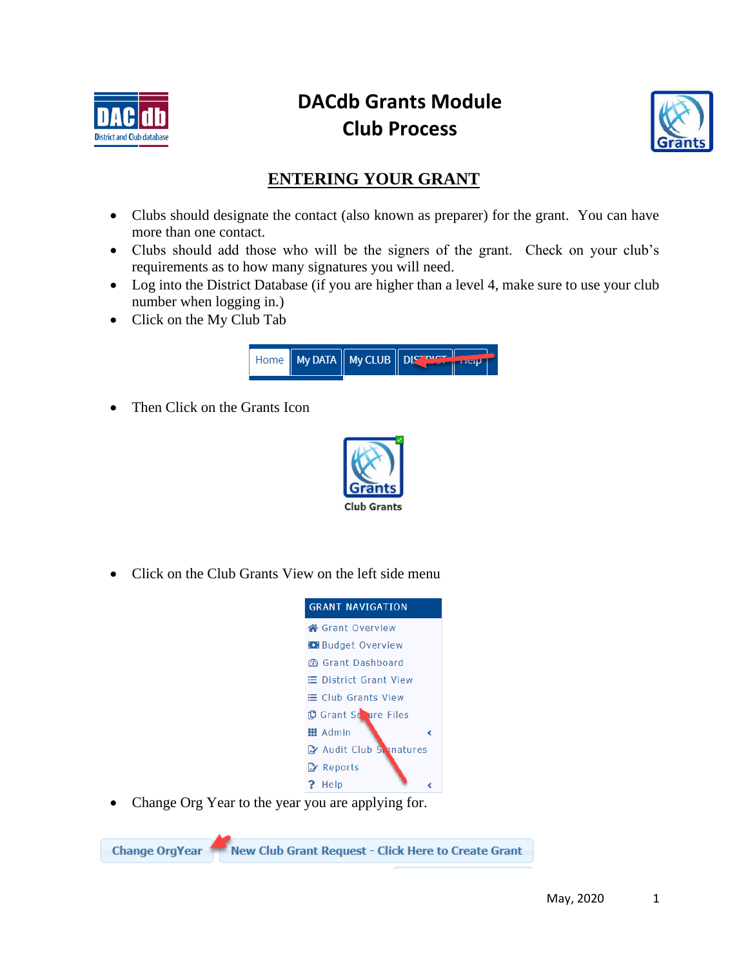

# **DACdb Grants Module Club Process**



## **ENTERING YOUR GRANT**

- Clubs should designate the contact (also known as preparer) for the grant. You can have more than one contact.
- Clubs should add those who will be the signers of the grant. Check on your club's requirements as to how many signatures you will need.
- Log into the District Database (if you are higher than a level 4, make sure to use your club number when logging in.)
- Click on the My Club Tab



• Then Click on the Grants Icon



• Click on the Club Grants View on the left side menu



Change Org Year to the year you are applying for.

New Club Grant Request - Click Here to Create Grant **Change OrgYear**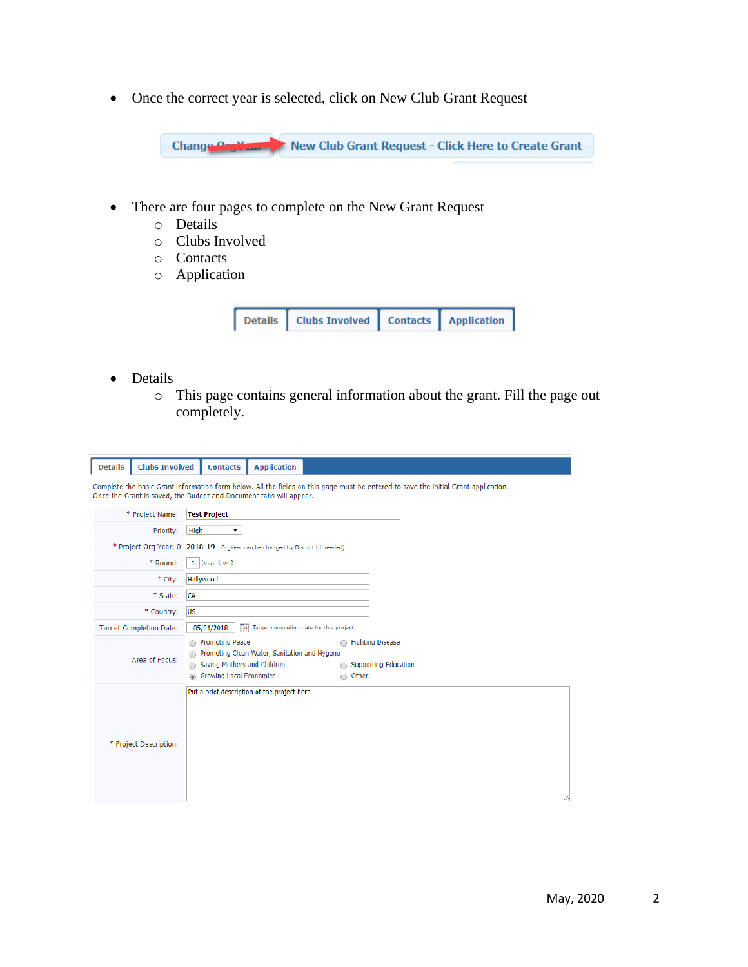• Once the correct year is selected, click on New Club Grant Request

New Club Grant Request - Click Here to Create Grant Change Orgy

- There are four pages to complete on the New Grant Request
	- o Details
	- o Clubs Involved
	- o Contacts
	- o Application



- Details
	- o This page contains general information about the grant. Fill the page out completely.

| <b>Details</b> | <b>Clubs Involved</b>          | <b>Contacts</b>                                                                  | <b>Application</b>                                                           |          |                                                                                                                                     |
|----------------|--------------------------------|----------------------------------------------------------------------------------|------------------------------------------------------------------------------|----------|-------------------------------------------------------------------------------------------------------------------------------------|
|                |                                |                                                                                  | Once the Grant is saved, the Budget and Document tabs will appear.           |          | Complete the basic Grant information form below. All the fields on this page must be entered to save the initial Grant application. |
|                | * Project Name:                | <b>Test Project</b>                                                              |                                                                              |          |                                                                                                                                     |
|                | Priority:                      | ▼<br>High                                                                        |                                                                              |          |                                                                                                                                     |
|                |                                |                                                                                  | * Project Org Year: 0 2018-19 OrgYear can be changed by District (if needed) |          |                                                                                                                                     |
|                | * Round:                       | $1$ (e.g., 1 or 2)                                                               |                                                                              |          |                                                                                                                                     |
|                | * City:                        | Hollywood                                                                        |                                                                              |          |                                                                                                                                     |
|                | * State:                       | <b>CA</b>                                                                        |                                                                              |          |                                                                                                                                     |
|                | * Country:                     | <b>US</b>                                                                        |                                                                              |          |                                                                                                                                     |
|                | <b>Target Completion Date:</b> | 05/01/2018<br>−∎                                                                 | Target completion date for this project.                                     |          |                                                                                                                                     |
|                | Area of Focus:                 | Promoting Peace<br>Saving Mothers and Children<br><b>Growing Local Economies</b> | Promoting Clean Water, Sanitation and Hygene                                 | ○ Other: | Fighting Disease<br>Supporting Education                                                                                            |
|                | * Project Description:         |                                                                                  | Put a brief description of the project here                                  |          |                                                                                                                                     |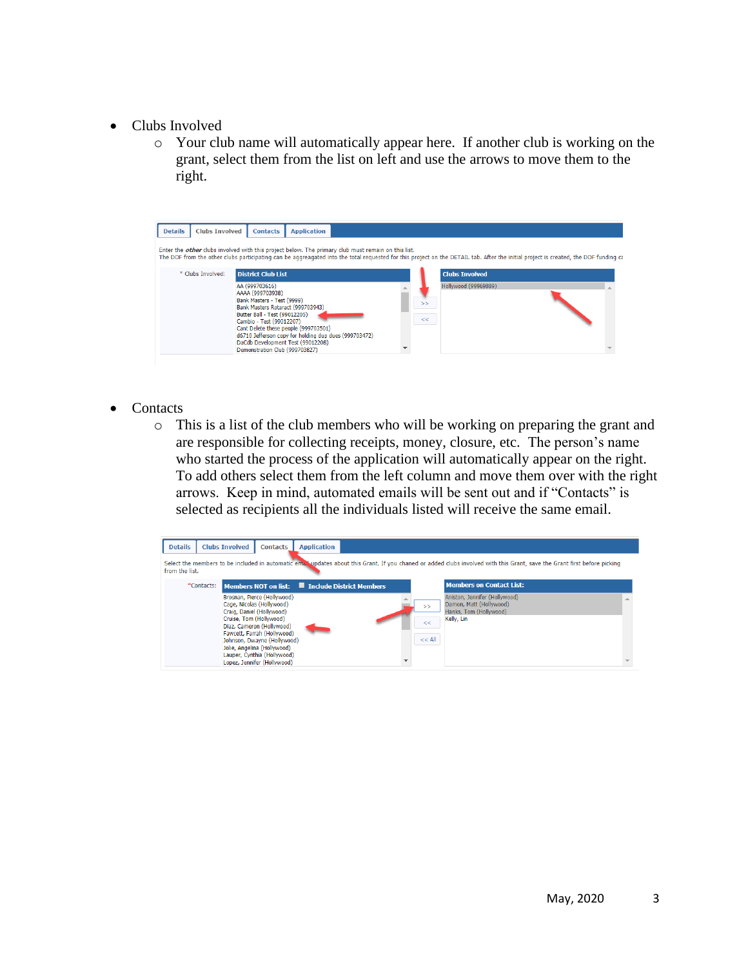- Clubs Involved
	- o Your club name will automatically appear here. If another club is working on the grant, select them from the list on left and use the arrows to move them to the right.



- Contacts
	- o This is a list of the club members who will be working on preparing the grant and are responsible for collecting receipts, money, closure, etc. The person's name who started the process of the application will automatically appear on the right. To add others select them from the left column and move them over with the right arrows. Keep in mind, automated emails will be sent out and if "Contacts" is selected as recipients all the individuals listed will receive the same email.

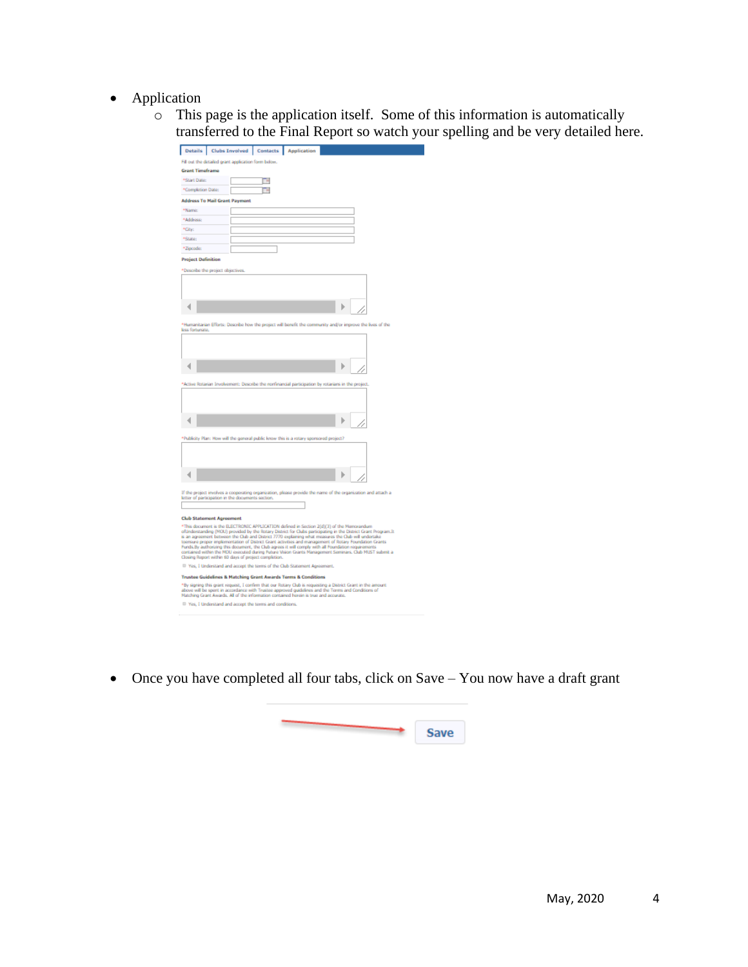- Application
	- o This page is the application itself. Some of this information is automatically transferred to the Final Report so watch your spelling and be very detailed here.

| Contacts<br><b>Details</b><br><b>Clubs Involved</b><br>Application                                                                                                                                                                                                                                                                                                                                                                                                                                                                                                                                                                                                                                                                                                                                                                                                                                                                                                                            |  |
|-----------------------------------------------------------------------------------------------------------------------------------------------------------------------------------------------------------------------------------------------------------------------------------------------------------------------------------------------------------------------------------------------------------------------------------------------------------------------------------------------------------------------------------------------------------------------------------------------------------------------------------------------------------------------------------------------------------------------------------------------------------------------------------------------------------------------------------------------------------------------------------------------------------------------------------------------------------------------------------------------|--|
| Fill out the detailed grant application form below.                                                                                                                                                                                                                                                                                                                                                                                                                                                                                                                                                                                                                                                                                                                                                                                                                                                                                                                                           |  |
| <b>Grant Timeframe</b>                                                                                                                                                                                                                                                                                                                                                                                                                                                                                                                                                                                                                                                                                                                                                                                                                                                                                                                                                                        |  |
| *Start Date:                                                                                                                                                                                                                                                                                                                                                                                                                                                                                                                                                                                                                                                                                                                                                                                                                                                                                                                                                                                  |  |
| *Completion Date:                                                                                                                                                                                                                                                                                                                                                                                                                                                                                                                                                                                                                                                                                                                                                                                                                                                                                                                                                                             |  |
| <b>Address To Mail Grant Payment</b>                                                                                                                                                                                                                                                                                                                                                                                                                                                                                                                                                                                                                                                                                                                                                                                                                                                                                                                                                          |  |
| *Name                                                                                                                                                                                                                                                                                                                                                                                                                                                                                                                                                                                                                                                                                                                                                                                                                                                                                                                                                                                         |  |
| *Address:                                                                                                                                                                                                                                                                                                                                                                                                                                                                                                                                                                                                                                                                                                                                                                                                                                                                                                                                                                                     |  |
| *Gly:                                                                                                                                                                                                                                                                                                                                                                                                                                                                                                                                                                                                                                                                                                                                                                                                                                                                                                                                                                                         |  |
| *State:                                                                                                                                                                                                                                                                                                                                                                                                                                                                                                                                                                                                                                                                                                                                                                                                                                                                                                                                                                                       |  |
| *Zipcode:                                                                                                                                                                                                                                                                                                                                                                                                                                                                                                                                                                                                                                                                                                                                                                                                                                                                                                                                                                                     |  |
| <b>Project Definition</b>                                                                                                                                                                                                                                                                                                                                                                                                                                                                                                                                                                                                                                                                                                                                                                                                                                                                                                                                                                     |  |
|                                                                                                                                                                                                                                                                                                                                                                                                                                                                                                                                                                                                                                                                                                                                                                                                                                                                                                                                                                                               |  |
| *Describe the project objectives.                                                                                                                                                                                                                                                                                                                                                                                                                                                                                                                                                                                                                                                                                                                                                                                                                                                                                                                                                             |  |
|                                                                                                                                                                                                                                                                                                                                                                                                                                                                                                                                                                                                                                                                                                                                                                                                                                                                                                                                                                                               |  |
|                                                                                                                                                                                                                                                                                                                                                                                                                                                                                                                                                                                                                                                                                                                                                                                                                                                                                                                                                                                               |  |
|                                                                                                                                                                                                                                                                                                                                                                                                                                                                                                                                                                                                                                                                                                                                                                                                                                                                                                                                                                                               |  |
|                                                                                                                                                                                                                                                                                                                                                                                                                                                                                                                                                                                                                                                                                                                                                                                                                                                                                                                                                                                               |  |
| *Humanitarian Efforts: Describe how the project will benefit the community and/or improve the lives of the                                                                                                                                                                                                                                                                                                                                                                                                                                                                                                                                                                                                                                                                                                                                                                                                                                                                                    |  |
| less fortunate.                                                                                                                                                                                                                                                                                                                                                                                                                                                                                                                                                                                                                                                                                                                                                                                                                                                                                                                                                                               |  |
|                                                                                                                                                                                                                                                                                                                                                                                                                                                                                                                                                                                                                                                                                                                                                                                                                                                                                                                                                                                               |  |
|                                                                                                                                                                                                                                                                                                                                                                                                                                                                                                                                                                                                                                                                                                                                                                                                                                                                                                                                                                                               |  |
|                                                                                                                                                                                                                                                                                                                                                                                                                                                                                                                                                                                                                                                                                                                                                                                                                                                                                                                                                                                               |  |
|                                                                                                                                                                                                                                                                                                                                                                                                                                                                                                                                                                                                                                                                                                                                                                                                                                                                                                                                                                                               |  |
|                                                                                                                                                                                                                                                                                                                                                                                                                                                                                                                                                                                                                                                                                                                                                                                                                                                                                                                                                                                               |  |
| *Active Rotarian Involvement: Describe the nonfinancial participation by rotarians in the project.                                                                                                                                                                                                                                                                                                                                                                                                                                                                                                                                                                                                                                                                                                                                                                                                                                                                                            |  |
|                                                                                                                                                                                                                                                                                                                                                                                                                                                                                                                                                                                                                                                                                                                                                                                                                                                                                                                                                                                               |  |
|                                                                                                                                                                                                                                                                                                                                                                                                                                                                                                                                                                                                                                                                                                                                                                                                                                                                                                                                                                                               |  |
|                                                                                                                                                                                                                                                                                                                                                                                                                                                                                                                                                                                                                                                                                                                                                                                                                                                                                                                                                                                               |  |
|                                                                                                                                                                                                                                                                                                                                                                                                                                                                                                                                                                                                                                                                                                                                                                                                                                                                                                                                                                                               |  |
|                                                                                                                                                                                                                                                                                                                                                                                                                                                                                                                                                                                                                                                                                                                                                                                                                                                                                                                                                                                               |  |
| *Publicity Plan: How will the general public know this is a rotary sponsored project?                                                                                                                                                                                                                                                                                                                                                                                                                                                                                                                                                                                                                                                                                                                                                                                                                                                                                                         |  |
|                                                                                                                                                                                                                                                                                                                                                                                                                                                                                                                                                                                                                                                                                                                                                                                                                                                                                                                                                                                               |  |
|                                                                                                                                                                                                                                                                                                                                                                                                                                                                                                                                                                                                                                                                                                                                                                                                                                                                                                                                                                                               |  |
|                                                                                                                                                                                                                                                                                                                                                                                                                                                                                                                                                                                                                                                                                                                                                                                                                                                                                                                                                                                               |  |
|                                                                                                                                                                                                                                                                                                                                                                                                                                                                                                                                                                                                                                                                                                                                                                                                                                                                                                                                                                                               |  |
|                                                                                                                                                                                                                                                                                                                                                                                                                                                                                                                                                                                                                                                                                                                                                                                                                                                                                                                                                                                               |  |
|                                                                                                                                                                                                                                                                                                                                                                                                                                                                                                                                                                                                                                                                                                                                                                                                                                                                                                                                                                                               |  |
|                                                                                                                                                                                                                                                                                                                                                                                                                                                                                                                                                                                                                                                                                                                                                                                                                                                                                                                                                                                               |  |
|                                                                                                                                                                                                                                                                                                                                                                                                                                                                                                                                                                                                                                                                                                                                                                                                                                                                                                                                                                                               |  |
|                                                                                                                                                                                                                                                                                                                                                                                                                                                                                                                                                                                                                                                                                                                                                                                                                                                                                                                                                                                               |  |
|                                                                                                                                                                                                                                                                                                                                                                                                                                                                                                                                                                                                                                                                                                                                                                                                                                                                                                                                                                                               |  |
|                                                                                                                                                                                                                                                                                                                                                                                                                                                                                                                                                                                                                                                                                                                                                                                                                                                                                                                                                                                               |  |
|                                                                                                                                                                                                                                                                                                                                                                                                                                                                                                                                                                                                                                                                                                                                                                                                                                                                                                                                                                                               |  |
|                                                                                                                                                                                                                                                                                                                                                                                                                                                                                                                                                                                                                                                                                                                                                                                                                                                                                                                                                                                               |  |
|                                                                                                                                                                                                                                                                                                                                                                                                                                                                                                                                                                                                                                                                                                                                                                                                                                                                                                                                                                                               |  |
| <sup>(1)</sup> Yes, I Understand and accept the terms of the Club Statement Agreement.                                                                                                                                                                                                                                                                                                                                                                                                                                                                                                                                                                                                                                                                                                                                                                                                                                                                                                        |  |
| If the project involves a cooperating organization, please provide the name of the organization and attach a<br>letter of participation in the documents section.<br><b>Club Statement Agreement</b><br>*This document is the ELECTRONIC APPLICATION defined in Section 2(d)(3) of the Memorandum<br>oftinderstanding (MOU) provided by the Rotary District for Clubs participating in the District Grant Program.It<br>is an agreement between the Club and District 7770 explaining what measures the Club will undertake<br>toensure proper implementation of District Grant activities and management of Rotary Foundation Grants<br>Funds.By authorizing this document, the Club agrees it will comply with all Foundation requirements<br>contained within the MOU executed during Future Vision Grants Management Seminars. Club MUST submit a<br>Closing Report within 60 days of project completion.<br><b>Trustee Guidelines &amp; Matching Grant Awards Terms &amp; Conditions</b> |  |
|                                                                                                                                                                                                                                                                                                                                                                                                                                                                                                                                                                                                                                                                                                                                                                                                                                                                                                                                                                                               |  |
| *By signing this grant request, I confirm that our Rotary Club is requesting a District Grant in the amount<br>above will be spent in accordance with Trustee approved guidelines and the Terms and Conditions of<br>Matching Grant Awards. All of the information contained herein is true and accurate.                                                                                                                                                                                                                                                                                                                                                                                                                                                                                                                                                                                                                                                                                     |  |

• Once you have completed all four tabs, click on Save – You now have a draft grant

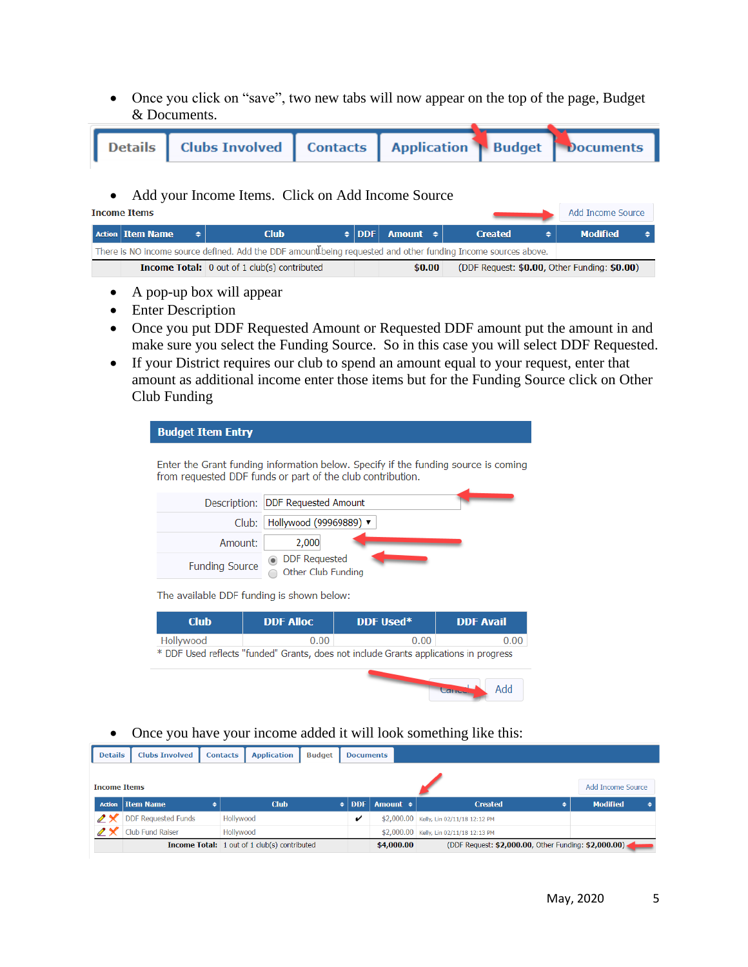• Once you click on "save", two new tabs will now appear on the top of the page, Budget & Documents.

| Details   Clubs Involved   Contacts   Application   Budget   Documents |  |
|------------------------------------------------------------------------|--|

• Add your Income Items. Click on Add Income Source

**Income Items** 

| <b>Action Item Name</b>                                                                                       | Club                                                |  | $\div$ DDF Amount $\div$ | <b>Created</b>                               | <b>Modified</b> |  |  |  |
|---------------------------------------------------------------------------------------------------------------|-----------------------------------------------------|--|--------------------------|----------------------------------------------|-----------------|--|--|--|
| There is NO income source defined. Add the DDF amount being requested and other funding Income sources above. |                                                     |  |                          |                                              |                 |  |  |  |
|                                                                                                               | <b>Income Total:</b> 0 out of 1 club(s) contributed |  | \$0.00                   | (DDF Request: \$0.00, Other Funding: \$0.00) |                 |  |  |  |

- A pop-up box will appear
- Enter Description
- Once you put DDF Requested Amount or Requested DDF amount put the amount in and make sure you select the Funding Source. So in this case you will select DDF Requested.
- If your District requires our club to spend an amount equal to your request, enter that amount as additional income enter those items but for the Funding Source click on Other Club Funding

| <b>Budget Item Entry</b> |                                                            |                                                                                       |                  |  |  |  |  |  |
|--------------------------|------------------------------------------------------------|---------------------------------------------------------------------------------------|------------------|--|--|--|--|--|
|                          | from requested DDF funds or part of the club contribution. | Enter the Grant funding information below. Specify if the funding source is coming    |                  |  |  |  |  |  |
| Description:             | <b>DDF Requested Amount</b>                                |                                                                                       |                  |  |  |  |  |  |
|                          | Club:                                                      | Hollywood (99969889) ▼                                                                |                  |  |  |  |  |  |
| Amount:                  | 2,000                                                      |                                                                                       |                  |  |  |  |  |  |
| <b>Funding Source</b>    | <b>DDF</b> Requested<br>Other Club Funding                 |                                                                                       |                  |  |  |  |  |  |
|                          | The available DDF funding is shown below:                  |                                                                                       |                  |  |  |  |  |  |
| <b>Club</b>              | <b>DDF Alloc</b>                                           | DDF Used*                                                                             | <b>DDF Avail</b> |  |  |  |  |  |
| Hollywood                | 0.00                                                       | 0.00                                                                                  | 0.00             |  |  |  |  |  |
|                          |                                                            | * DDF Used reflects "funded" Grants, does not include Grants applications in progress |                  |  |  |  |  |  |
|                          |                                                            | <b>Carlotte</b>                                                                       | hbA              |  |  |  |  |  |

• Once you have your income added it will look something like this:

| <b>Details</b>            | <b>Clubs Involved</b>      | <b>Contacts</b> | <b>Application</b>                                  | <b>Budget</b> | <b>Documents</b> |               |                                                      |   |                   |  |
|---------------------------|----------------------------|-----------------|-----------------------------------------------------|---------------|------------------|---------------|------------------------------------------------------|---|-------------------|--|
|                           |                            |                 |                                                     |               |                  |               |                                                      |   |                   |  |
| <b>Income Items</b>       |                            |                 |                                                     |               |                  |               |                                                      |   | Add Income Source |  |
|                           | <b>Action</b>   Item Name  | ٠               | <b>Club</b>                                         | $\bullet$ 1   | DDF              | Amount $\div$ | <b>Created</b>                                       | ٠ | <b>Modified</b>   |  |
|                           | <b>DDF Requested Funds</b> |                 | Hollywood                                           |               |                  |               | \$2,000.00 Kelly, Lin 02/11/18 12:12 PM              |   |                   |  |
| $\mathscr{P} \mathscr{K}$ | Club Fund Raiser           |                 | Hollywood                                           |               |                  |               | \$2,000.00 Kelly, Lin 02/11/18 12:13 PM              |   |                   |  |
|                           |                            |                 | <b>Income Total:</b> 1 out of 1 club(s) contributed |               |                  | \$4,000.00    | (DDF Request: \$2,000.00, Other Funding: \$2,000.00) |   |                   |  |

Add Income Source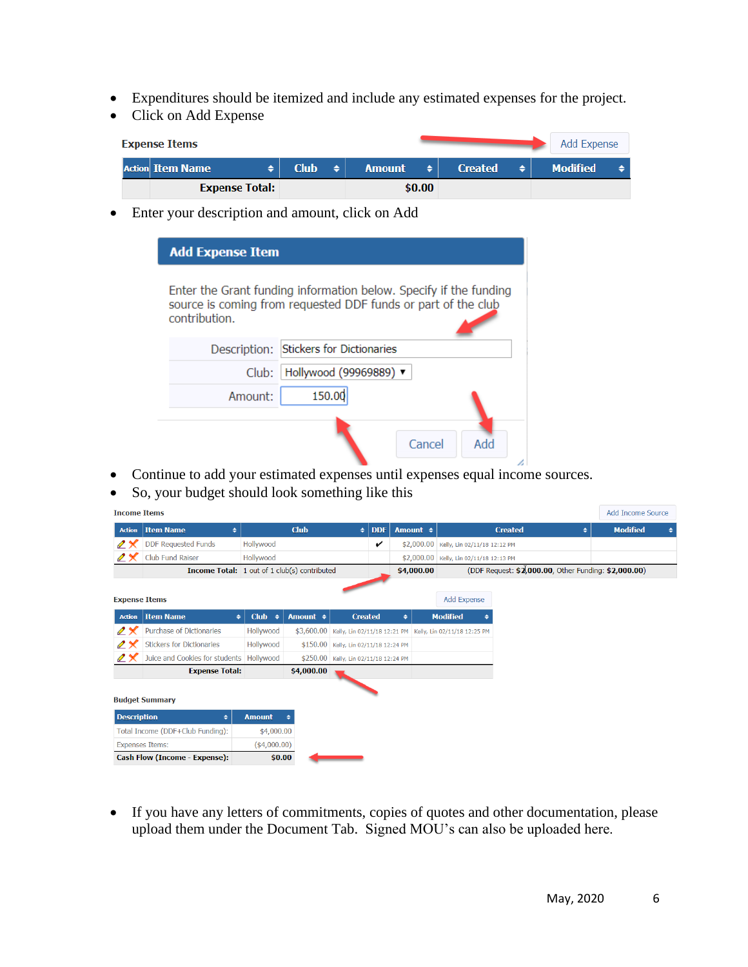- Expenditures should be itemized and include any estimated expenses for the project.
- Click on Add Expense

| <b>Expense Items</b>    |             |                  |               |        |                |   | Add Expense     |  |
|-------------------------|-------------|------------------|---------------|--------|----------------|---|-----------------|--|
| <b>Action Item Name</b> | <b>Club</b> | $\blacktriangle$ | <b>Amount</b> | ٠      | <b>Created</b> | ٠ | <b>Modified</b> |  |
| <b>Expense Total:</b>   |             |                  |               | \$0.00 |                |   |                 |  |

• Enter your description and amount, click on Add

| <b>Add Expense Item</b> |                                                                                                                                    |     |
|-------------------------|------------------------------------------------------------------------------------------------------------------------------------|-----|
| contribution.           | Enter the Grant funding information below. Specify if the funding<br>source is coming from requested DDF funds or part of the club |     |
| Description:            | Stickers for Dictionaries                                                                                                          |     |
| Club:                   | Hollywood (99969889) ▼                                                                                                             |     |
| Amount:                 | 150.00                                                                                                                             |     |
|                         | Cancel                                                                                                                             | Add |

- Continue to add your estimated expenses until expenses equal income sources.
- So, your budget should look something like this

| <b>Income Items</b>       |                                                     |                        |               |                                       |            |               |                                                           |                                                      |   | <b>Add Income Source</b> |   |
|---------------------------|-----------------------------------------------------|------------------------|---------------|---------------------------------------|------------|---------------|-----------------------------------------------------------|------------------------------------------------------|---|--------------------------|---|
| <b>Action</b>             | <b>Item Name</b><br>٠                               |                        | <b>Club</b>   | ٠                                     | <b>DDF</b> | Amount $\div$ |                                                           | <b>Created</b>                                       | ٠ | <b>Modified</b>          | ٠ |
| $\mathscr{P} \mathscr{K}$ | <b>DDF Requested Funds</b>                          | Hollywood              |               |                                       | v          |               | \$2,000.00 Kelly, Lin 02/11/18 12:12 PM                   |                                                      |   |                          |   |
| $2\times$                 | Club Fund Raiser                                    | Hollywood              |               |                                       |            |               | \$2,000.00 Kelly, Lin 02/11/18 12:13 PM                   |                                                      |   |                          |   |
|                           | <b>Income Total:</b> 1 out of 1 club(s) contributed |                        |               |                                       |            | \$4,000.00    |                                                           | (DDF Request: \$2,000.00, Other Funding: \$2,000.00) |   |                          |   |
| <b>Expense Items</b>      |                                                     |                        |               |                                       |            |               | Add Expense                                               |                                                      |   |                          |   |
| <b>Action</b>             | <b>Item Name</b><br>٠                               | Club $\Leftrightarrow$ | Amount $\div$ | <b>Created</b>                        |            | ٠             | <b>Modified</b>                                           |                                                      |   |                          |   |
| $\mathscr{P} \mathscr{K}$ | Purchase of Dictionaries                            | Hollywood              | \$3,600.00    |                                       |            |               | Kelly, Lin 02/11/18 12:21 PM Kelly, Lin 02/11/18 12:25 PM |                                                      |   |                          |   |
| $\mathscr{P} \mathscr{K}$ | <b>Stickers for Dictionaries</b>                    | Hollywood              | \$150.00      | Kelly, Lin 02/11/18 12:24 PM          |            |               |                                                           |                                                      |   |                          |   |
| $2\times$                 | Juice and Cookies for students                      | Hollywood              |               | \$250.00 Kelly, Lin 02/11/18 12:24 PM |            |               |                                                           |                                                      |   |                          |   |
|                           | <b>Expense Total:</b>                               |                        | \$4,000.00    |                                       |            |               |                                                           |                                                      |   |                          |   |
|                           | <b>Budget Summary</b>                               |                        |               |                                       |            |               |                                                           |                                                      |   |                          |   |
| <b>Description</b>        | ٠                                                   | <b>Amount</b>          | ۵             |                                       |            |               |                                                           |                                                      |   |                          |   |
|                           | Total Income (DDF+Club Funding):                    | \$4,000.00             |               |                                       |            |               |                                                           |                                                      |   |                          |   |
|                           | <b>Expenses Items:</b>                              | $($ \$4,000.00)        |               |                                       |            |               |                                                           |                                                      |   |                          |   |
|                           | Cash Flow (Income - Expense):                       | \$0.00                 |               |                                       |            |               |                                                           |                                                      |   |                          |   |

• If you have any letters of commitments, copies of quotes and other documentation, please upload them under the Document Tab. Signed MOU's can also be uploaded here.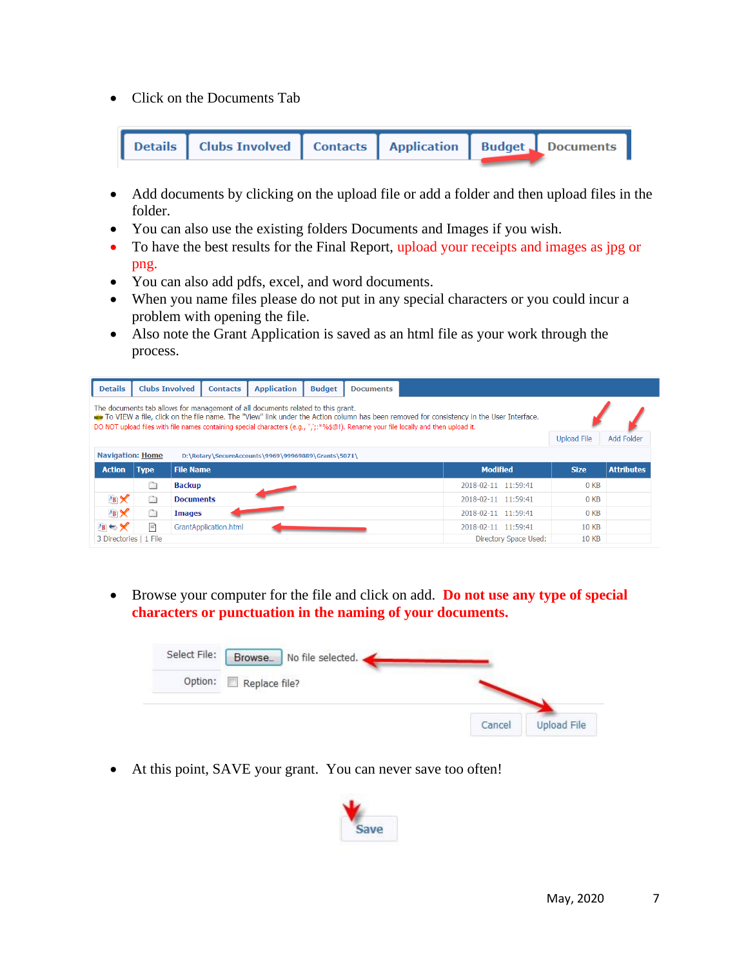• Click on the Documents Tab



- Add documents by clicking on the upload file or add a folder and then upload files in the folder.
- You can also use the existing folders Documents and Images if you wish.
- To have the best results for the Final Report, upload your receipts and images as jpg or png.
- You can also add pdfs, excel, and word documents.
- When you name files please do not put in any special characters or you could incur a problem with opening the file.
- Also note the Grant Application is saved as an html file as your work through the process.

| <b>Details</b>                                                                                                                                                                                                                                                                                                                                                        | <b>Clubs Involved</b>            | <b>Contacts</b>       | <b>Application</b> | <b>Budget</b> | <b>Documents</b> |  |                       |                 |                   |  |  |
|-----------------------------------------------------------------------------------------------------------------------------------------------------------------------------------------------------------------------------------------------------------------------------------------------------------------------------------------------------------------------|----------------------------------|-----------------------|--------------------|---------------|------------------|--|-----------------------|-----------------|-------------------|--|--|
| The documents tab allows for management of all documents related to this grant.<br>New To VIEW a file, click on the file name. The "View" link under the Action column has been removed for consistency in the User Interface.<br>DO NOT upload files with file names containing special characters (e.g., ",';:*%\$@!). Rename your file locally and then upload it. |                                  |                       |                    |               |                  |  |                       |                 |                   |  |  |
|                                                                                                                                                                                                                                                                                                                                                                       | Add Folder<br><b>Upload File</b> |                       |                    |               |                  |  |                       |                 |                   |  |  |
| <b>Navigation: Home</b><br>D:\Rotary\SecureAccounts\9969\99969889\Grants\5071\                                                                                                                                                                                                                                                                                        |                                  |                       |                    |               |                  |  |                       |                 |                   |  |  |
| <b>Action</b>                                                                                                                                                                                                                                                                                                                                                         | <b>Type</b>                      | <b>File Name</b>      |                    |               |                  |  | <b>Modified</b>       | <b>Size</b>     | <b>Attributes</b> |  |  |
|                                                                                                                                                                                                                                                                                                                                                                       | C)                               | Backup                |                    |               |                  |  | 2018-02-11 11:59:41   | 0 <sub>KB</sub> |                   |  |  |
| $AB \times$                                                                                                                                                                                                                                                                                                                                                           | Ò                                | <b>Documents</b>      |                    |               |                  |  | 2018-02-11 11:59:41   | 0 <sub>KB</sub> |                   |  |  |
| $AB \times$                                                                                                                                                                                                                                                                                                                                                           | Ò                                | <b>Images</b>         |                    |               |                  |  | 2018-02-11 11:59:41   | 0 <sub>KB</sub> |                   |  |  |
| $AB \Leftrightarrow X$                                                                                                                                                                                                                                                                                                                                                | ΞÌ                               | GrantApplication.html |                    |               |                  |  | 2018-02-11 11:59:41   | <b>10 KB</b>    |                   |  |  |
| 3 Directories   1 File                                                                                                                                                                                                                                                                                                                                                |                                  |                       |                    |               |                  |  | Directory Space Used: | <b>10 KB</b>    |                   |  |  |

• Browse your computer for the file and click on add. **Do not use any type of special characters or punctuation in the naming of your documents.**

| Select File: | Browse_<br>No file selected. |        |             |
|--------------|------------------------------|--------|-------------|
| Option:      | Replace file?                |        |             |
|              |                              | Cancel | Upload File |

• At this point, SAVE your grant. You can never save too often!

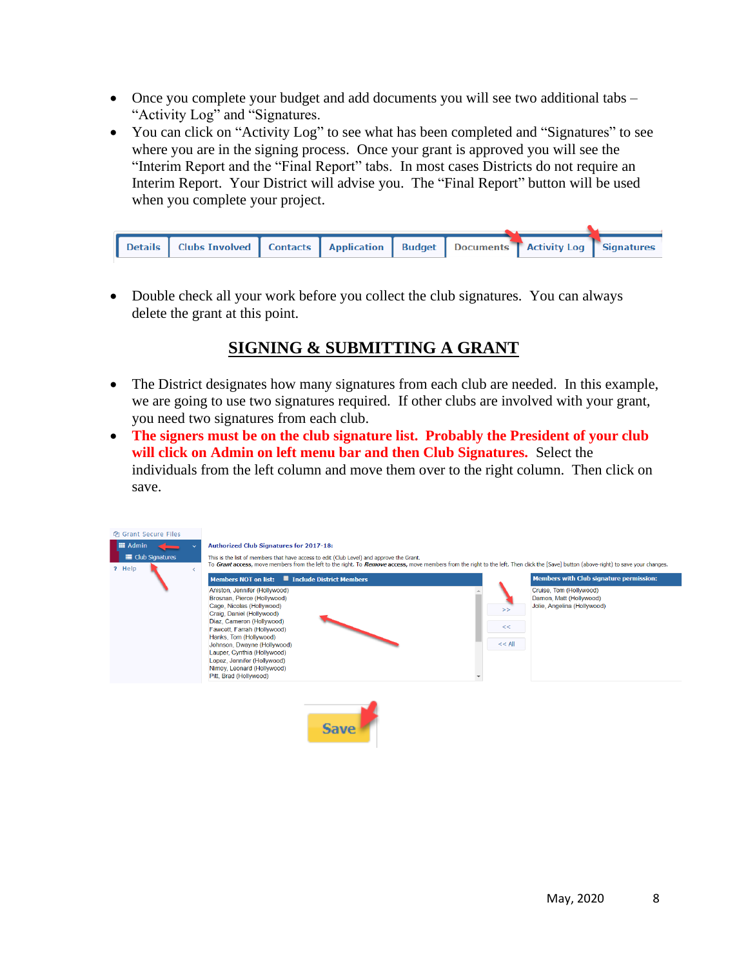- Once you complete your budget and add documents you will see two additional tabs "Activity Log" and "Signatures.
- You can click on "Activity Log" to see what has been completed and "Signatures" to see where you are in the signing process. Once your grant is approved you will see the "Interim Report and the "Final Report" tabs. In most cases Districts do not require an Interim Report. Your District will advise you. The "Final Report" button will be used when you complete your project.

|  | Details   Clubs Involved   Contacts   Application   Budget   Documents   Activity Log   Signatures |  |  |  |
|--|----------------------------------------------------------------------------------------------------|--|--|--|

• Double check all your work before you collect the club signatures. You can always delete the grant at this point.

# **SIGNING & SUBMITTING A GRANT**

- The District designates how many signatures from each club are needed. In this example, we are going to use two signatures required. If other clubs are involved with your grant, you need two signatures from each club.
- **The signers must be on the club signature list. Probably the President of your club will click on Admin on left menu bar and then Club Signatures.** Select the individuals from the left column and move them over to the right column. Then click on save.



 $\overline{\phantom{a}}$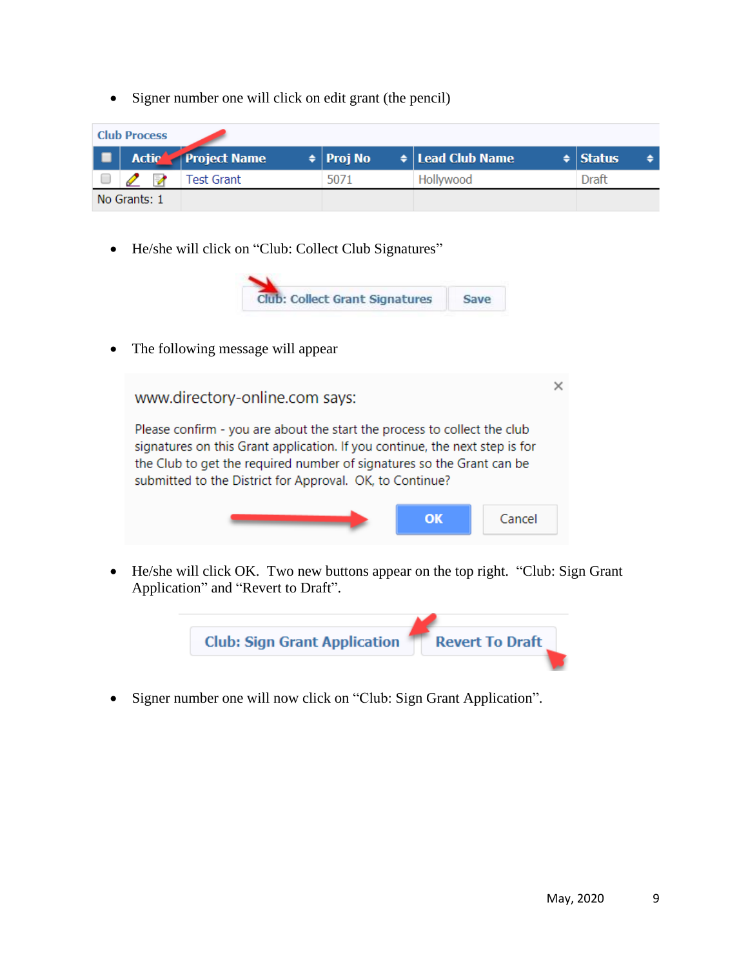• Signer number one will click on edit grant (the pencil)

| <b>Club Process</b> |              |                    |                  |                            |               |  |  |  |  |
|---------------------|--------------|--------------------|------------------|----------------------------|---------------|--|--|--|--|
|                     |              | Actic Project Name | $\div$   Proj No | $\bullet$   Lead Club Name | $\div$ Status |  |  |  |  |
|                     |              | Test Grant         | 5071             | Hollywood                  | <b>Draft</b>  |  |  |  |  |
|                     | No Grants: 1 |                    |                  |                            |               |  |  |  |  |

• He/she will click on "Club: Collect Club Signatures"



• The following message will appear



• He/she will click OK. Two new buttons appear on the top right. "Club: Sign Grant Application" and "Revert to Draft".



• Signer number one will now click on "Club: Sign Grant Application".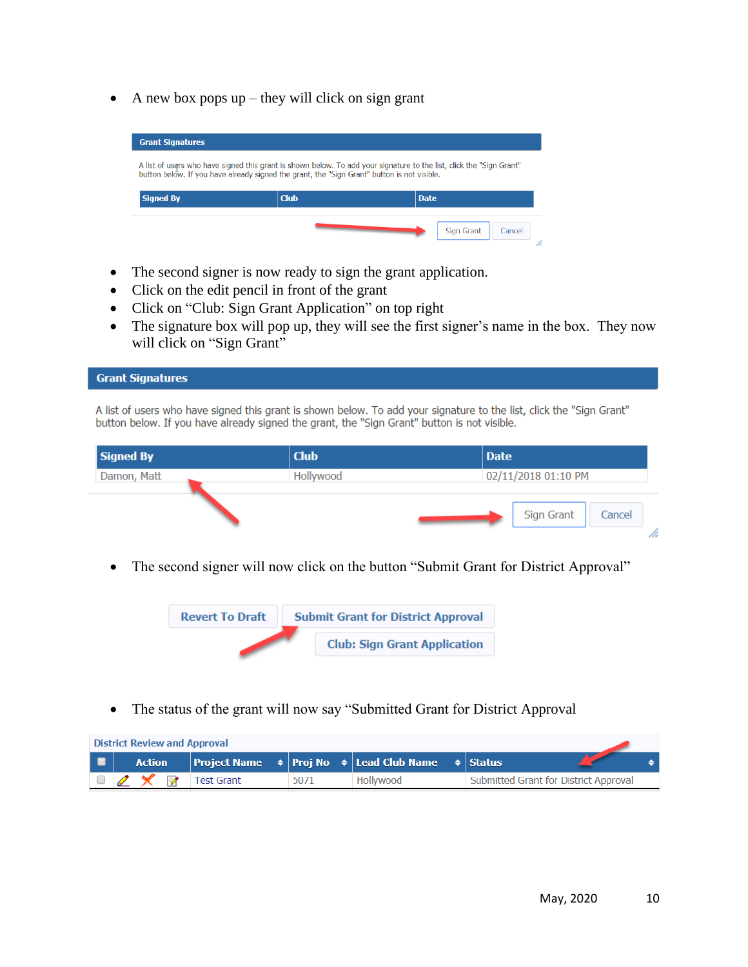• A new box pops  $up$  – they will click on sign grant

| A list of users who have signed this grant is shown below. To add your signature to the list, click the "Sign Grant"<br>button below. If you have already signed the grant, the "Sign Grant" button is not visible. |             |             |  |  |  |  |  |  |
|---------------------------------------------------------------------------------------------------------------------------------------------------------------------------------------------------------------------|-------------|-------------|--|--|--|--|--|--|
| <b>Signed By</b>                                                                                                                                                                                                    | <b>Club</b> | <b>Date</b> |  |  |  |  |  |  |

- The second signer is now ready to sign the grant application.
- Click on the edit pencil in front of the grant

**Grant Signatures** 

- Click on "Club: Sign Grant Application" on top right
- The signature box will pop up, they will see the first signer's name in the box. They now will click on "Sign Grant"

A list of users who have signed this grant is shown below. To add your signature to the list, click the "Sign Grant" button below. If you have already signed the grant, the "Sign Grant" button is not visible.

| <b>Signed By</b> | <b>Club</b> | Date                 |
|------------------|-------------|----------------------|
| Damon, Matt      | Hollywood   | 02/11/2018 01:10 PM  |
|                  |             | Sign Grant<br>Cancel |
|                  |             |                      |

• The second signer will now click on the button "Submit Grant for District Approval"



• The status of the grant will now say "Submitted Grant for District Approval

|          | <b>District Review and Approval</b> |                   |      |                                                                                            |                                       |  |  |  |
|----------|-------------------------------------|-------------------|------|--------------------------------------------------------------------------------------------|---------------------------------------|--|--|--|
| <b>D</b> | <b>Action</b>                       |                   |      | Project Name $\Rightarrow$   Proj No $\Rightarrow$   Lead Club Name $\Rightarrow$   Status |                                       |  |  |  |
|          |                                     | <b>Test Grant</b> | 5071 | Hollywood                                                                                  | Submitted Grant for District Approval |  |  |  |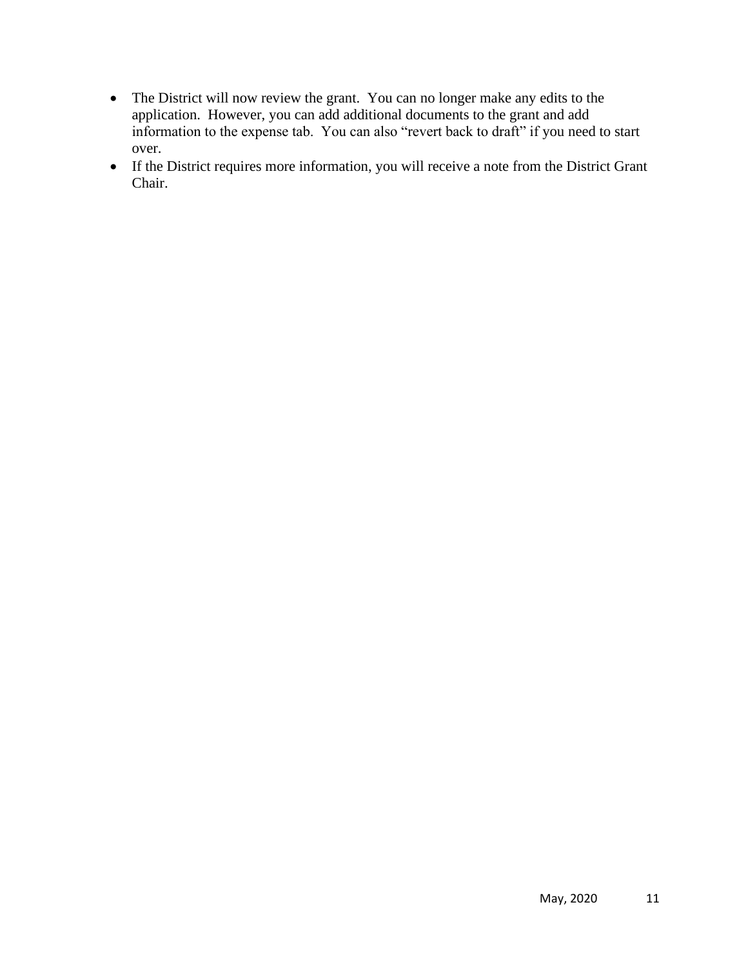- The District will now review the grant. You can no longer make any edits to the application. However, you can add additional documents to the grant and add information to the expense tab. You can also "revert back to draft" if you need to start over.
- If the District requires more information, you will receive a note from the District Grant Chair.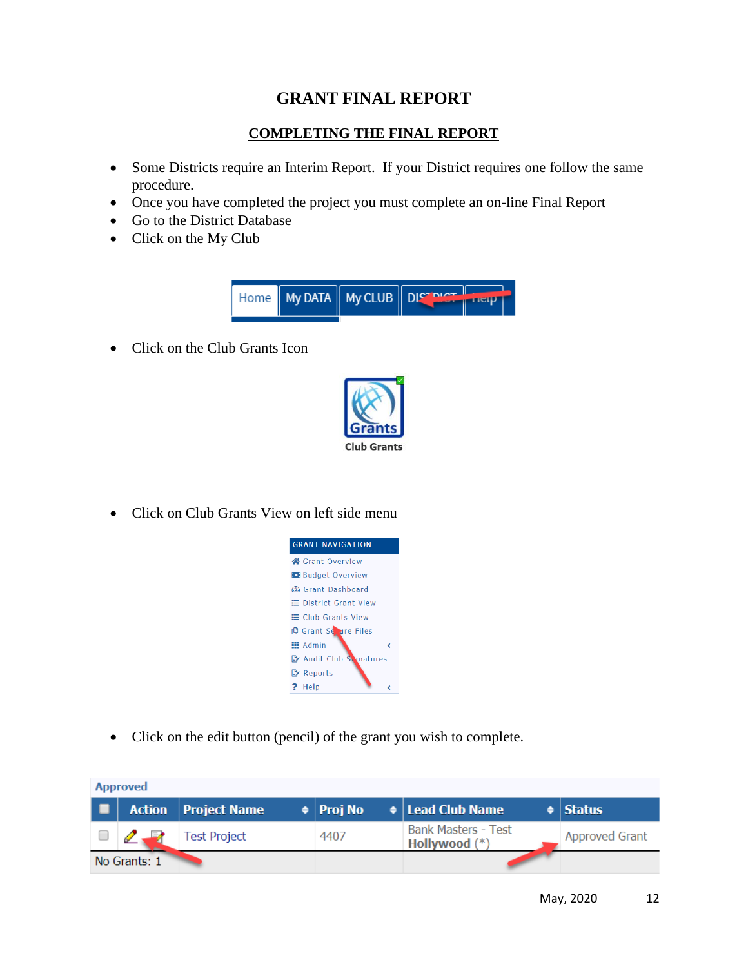## **GRANT FINAL REPORT**

### **COMPLETING THE FINAL REPORT**

- Some Districts require an Interim Report. If your District requires one follow the same procedure.
- Once you have completed the project you must complete an on-line Final Report
- Go to the District Database
- Click on the My Club



• Click on the Club Grants Icon



• Click on Club Grants View on left side menu



• Click on the edit button (pencil) of the grant you wish to complete.

| <b>Approved</b> |              |                              |                  |                                             |                       |  |  |  |  |
|-----------------|--------------|------------------------------|------------------|---------------------------------------------|-----------------------|--|--|--|--|
| ▁▆              |              | <b>Action</b>   Project Name | $\div$   Proj No | $\triangleq$ Lead Club Name                 | $\div$ Status         |  |  |  |  |
|                 |              | Test Project                 | 4407             | <b>Bank Masters - Test</b><br>Hollywood (*) | <b>Approved Grant</b> |  |  |  |  |
|                 | No Grants: 1 |                              |                  |                                             |                       |  |  |  |  |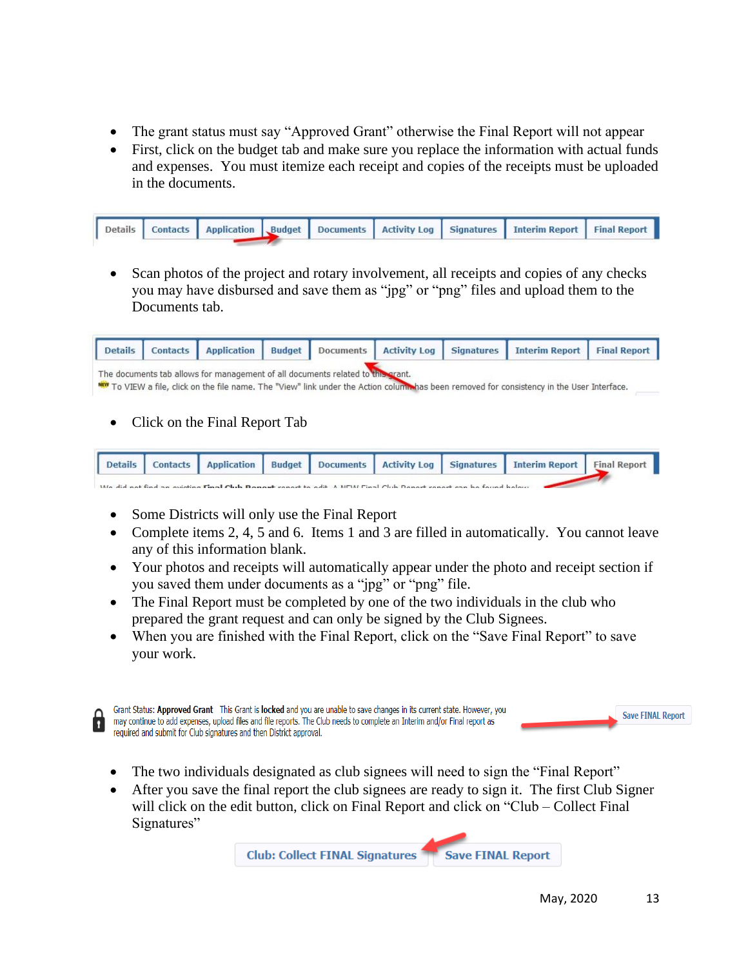- The grant status must say "Approved Grant" otherwise the Final Report will not appear
- First, click on the budget tab and make sure you replace the information with actual funds and expenses. You must itemize each receipt and copies of the receipts must be uploaded in the documents.

|  |  |  | Details Contacts Application Budget Documents Activity Log Signatures Interim Report Final Report |  |
|--|--|--|---------------------------------------------------------------------------------------------------|--|
|  |  |  |                                                                                                   |  |

• Scan photos of the project and rotary involvement, all receipts and copies of any checks you may have disbursed and save them as "jpg" or "png" files and upload them to the Documents tab.

|                                                                                                                                                                                                                                     |  |  |  |  |  |  | Details   Contacts   Application   Budget   Documents   Activity Log   Signatures   Interim Report   Final Report |  |
|-------------------------------------------------------------------------------------------------------------------------------------------------------------------------------------------------------------------------------------|--|--|--|--|--|--|-------------------------------------------------------------------------------------------------------------------|--|
| The documents tab allows for management of all documents related to this grant.<br><b>WEW</b> To VIEW a file, click on the file name. The "View" link under the Action columnas been removed for consistency in the User Interface. |  |  |  |  |  |  |                                                                                                                   |  |

• Click on the Final Report Tab



- Some Districts will only use the Final Report
- Complete items 2, 4, 5 and 6. Items 1 and 3 are filled in automatically. You cannot leave any of this information blank.
- Your photos and receipts will automatically appear under the photo and receipt section if you saved them under documents as a "jpg" or "png" file.
- The Final Report must be completed by one of the two individuals in the club who prepared the grant request and can only be signed by the Club Signees.
- When you are finished with the Final Report, click on the "Save Final Report" to save your work.



Grant Status: Approved Grant This Grant is locked and you are unable to save changes in its current state. However, you **Save FINAL Report** may continue to add expenses, upload files and file reports. The Club needs to complete an Interim and/or Final report as required and submit for Club signatures and then District approval.

- The two individuals designated as club signees will need to sign the "Final Report"
- After you save the final report the club signees are ready to sign it. The first Club Signer will click on the edit button, click on Final Report and click on "Club – Collect Final Signatures"

**Club: Collect FINAL Signatures Save FINAL Report**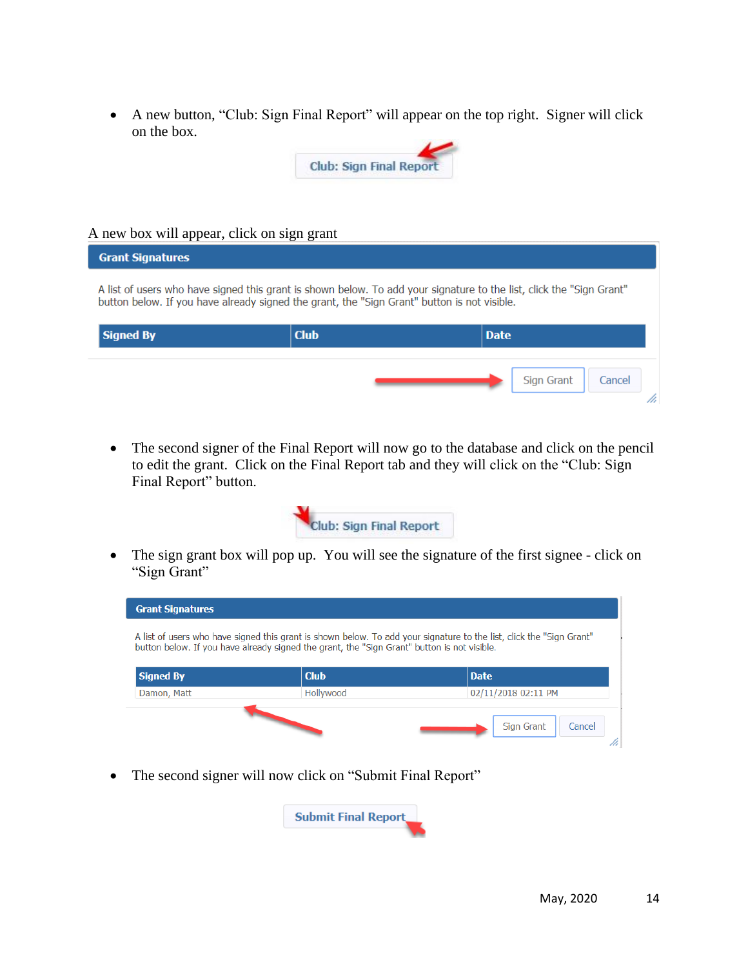• A new button, "Club: Sign Final Report" will appear on the top right. Signer will click on the box.



#### A new box will appear, click on sign grant

| <b>Grant Signatures</b>                                                                                                                                                                                             |             |                      |  |  |  |  |  |  |  |
|---------------------------------------------------------------------------------------------------------------------------------------------------------------------------------------------------------------------|-------------|----------------------|--|--|--|--|--|--|--|
| A list of users who have signed this grant is shown below. To add your signature to the list, click the "Sign Grant"<br>button below. If you have already signed the grant, the "Sign Grant" button is not visible. |             |                      |  |  |  |  |  |  |  |
| <b>Signed By</b>                                                                                                                                                                                                    | <b>Club</b> | <b>Date</b>          |  |  |  |  |  |  |  |
|                                                                                                                                                                                                                     |             | Sign Grant<br>Cancel |  |  |  |  |  |  |  |

• The second signer of the Final Report will now go to the database and click on the pencil to edit the grant. Click on the Final Report tab and they will click on the "Club: Sign Final Report" button.



• The sign grant box will pop up. You will see the signature of the first signee - click on "Sign Grant"



• The second signer will now click on "Submit Final Report"